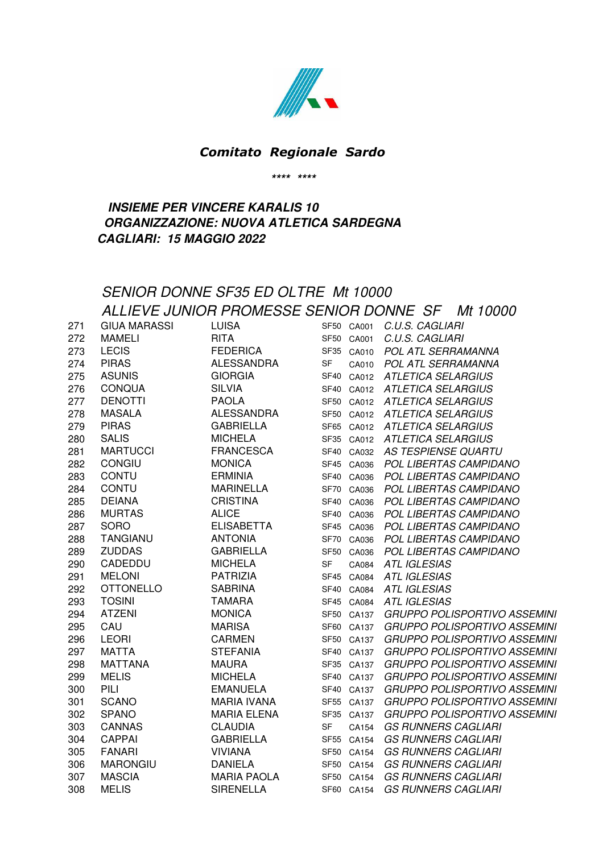

### *Comitato Regionale Sardo*

**\*\*\*\* \*\*\*\***

### **INSIEME PER VINCERE KARALIS 10 ORGANIZZAZIONE: NUOVA ATLETICA SARDEGNA CAGLIARI: 15 MAGGIO 2022**

#### SENIOR DONNE SF35 ED OLTRE Mt 10000 ALLIEVE JUNIOR PROMESSE SENIOR DONNE SF Mt 10000 271 GIUA MARASSI LUISA SF50 CA001 C.U.S. CAGLIARI 272 MAMELI RITA SF50 CA001 C.U.S. CAGLIARI 273 LECIS FEDERICA SF35 CA010 POL ATL SERRAMANNA 274 PIRAS ALESSANDRA SF CA010 POL ATL SERRAMANNA 275 ASUNIS GIORGIA SF40 CA012 ATLETICA SELARGIUS 276 CONQUA SILVIA SF40 CA012 ATLETICA SELARGIUS 277 DENOTTI PAOLA SF50 CA012 ATLETICA SELARGIUS 278 MASALA ALESSANDRA SF50 CA012 ATLETICA SELARGIUS 279 PIRAS GABRIELLA SF65 CA012 ATLETICA SELARGIUS 280 SALIS MICHELA SF35 CA012 ATLETICA SELARGIUS 281 MARTUCCI FRANCESCA SF40 CA032 AS TESPIENSE QUARTU 282 CONGIU MONICA SF45 CA036 POL LIBERTAS CAMPIDANO 283 CONTU ERMINIA SF40 CA036 POL LIBERTAS CAMPIDANO 284 CONTU MARINELLA SF70 CA036 POL LIBERTAS CAMPIDANO 285 DEIANA CRISTINA SF40 CA036 POL LIBERTAS CAMPIDANO 286 MURTAS ALICE SF40 CA036 POL LIBERTAS CAMPIDANO 287 SORO ELISABETTA SF45 CA036 POL LIBERTAS CAMPIDANO 288 TANGIANU ANTONIA SF70 CA036 POL LIBERTAS CAMPIDANO 289 ZUDDAS GABRIELLA SF50 CA036 POL LIBERTAS CAMPIDANO 290 CADEDDU MICHELA SF CA084 ATL IGLESIAS 291 MELONI PATRIZIA SF45 CA084 ATL IGLESIAS 292 OTTONELLO SABRINA SF40 CA084 ATL IGLESIAS 293 TOSINI TAMARA SF45 CA084 ATL IGLESIAS 294 ATZENI MONICA SF50 CA137 GRUPPO POLISPORTIVO ASSEMINI 295 CAU MARISA SF60 CA137 GRUPPO POLISPORTIVO ASSEMINI 296 LEORI CARMEN SF50 CA137 GRUPPO POLISPORTIVO ASSEMINI 297 MATTA STEFANIA SF40 CA137 GRUPPO POLISPORTIVO ASSEMINI 298 MATTANA MAURA SF35 CA137 GRUPPO POLISPORTIVO ASSEMINI 299 MELIS MICHELA SF40 CA137 GRUPPO POLISPORTIVO ASSEMINI 300 PILI EMANUELA SF40 CA137 GRUPPO POLISPORTIVO ASSEMINI 301 SCANO MARIA IVANA SF55 CA137 GRUPPO POLISPORTIVO ASSEMINI 302 SPANO MARIA ELENA SF35 CA137 GRUPPO POLISPORTIVO ASSEMINI 303 CANNAS CLAUDIA SF CA154 GS RUNNERS CAGLIARI 304 CAPPAI GABRIELLA SF55 CA154 GS RUNNERS CAGLIARI 305 FANARI VIVIANA SF50 CA154 GS RUNNERS CAGLIARI 306 MARONGIU DANIELA SF50 CA154 GS RUNNERS CAGLIARI 307 MASCIA MARIA PAOLA SF50 CA154 GS RUNNERS CAGLIARI 308 MELIS SIRENELLA SF60 CA154 GS RUNNERS CAGLIARI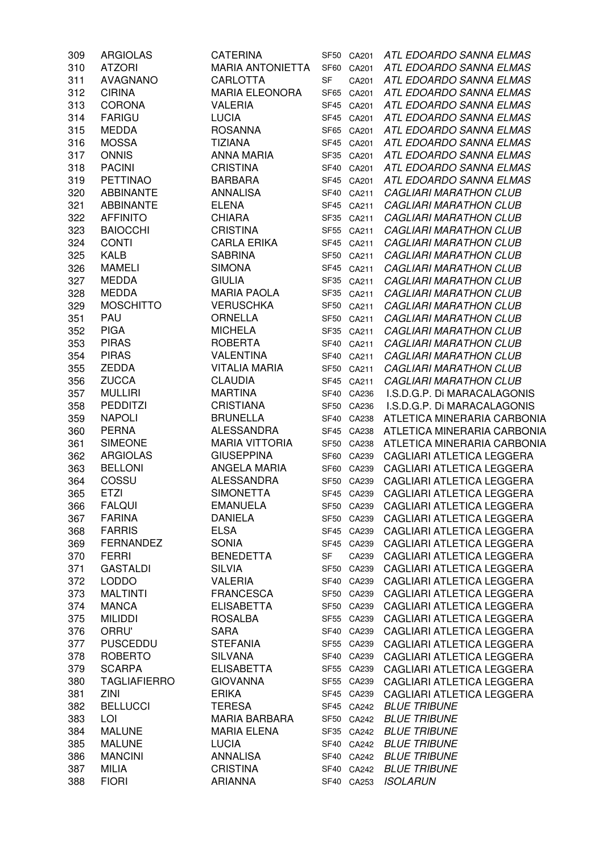| 309 | <b>ARGIOLAS</b>     | <b>CATERINA</b>         |                  | SF50 CA201 | ATL EDOARDO SANNA ELMAS          |
|-----|---------------------|-------------------------|------------------|------------|----------------------------------|
| 310 | <b>ATZORI</b>       | <b>MARIA ANTONIETTA</b> |                  | SF60 CA201 | ATL EDOARDO SANNA ELMAS          |
| 311 | <b>AVAGNANO</b>     | <b>CARLOTTA</b>         | SF               | CA201      | ATL EDOARDO SANNA ELMAS          |
| 312 | <b>CIRINA</b>       | <b>MARIA ELEONORA</b>   | SF65             | CA201      | ATL EDOARDO SANNA ELMAS          |
| 313 | <b>CORONA</b>       | <b>VALERIA</b>          | SF45             | CA201      | ATL EDOARDO SANNA ELMAS          |
| 314 | <b>FARIGU</b>       | <b>LUCIA</b>            | SF45             | CA201      | ATL EDOARDO SANNA ELMAS          |
| 315 | <b>MEDDA</b>        | <b>ROSANNA</b>          | SF65             | CA201      | ATL EDOARDO SANNA ELMAS          |
| 316 | <b>MOSSA</b>        | <b>TIZIANA</b>          | SF45             | CA201      | ATL EDOARDO SANNA ELMAS          |
| 317 | <b>ONNIS</b>        | <b>ANNA MARIA</b>       | SF <sub>35</sub> | CA201      | ATL EDOARDO SANNA ELMAS          |
| 318 | <b>PACINI</b>       | <b>CRISTINA</b>         | SF40             | CA201      | ATL EDOARDO SANNA ELMAS          |
| 319 | <b>PETTINAO</b>     | <b>BARBARA</b>          |                  | SF45 CA201 | ATL EDOARDO SANNA ELMAS          |
| 320 | <b>ABBINANTE</b>    | <b>ANNALISA</b>         |                  | SF40 CA211 | <b>CAGLIARI MARATHON CLUB</b>    |
| 321 | <b>ABBINANTE</b>    | <b>ELENA</b>            |                  | SF45 CA211 | CAGLIARI MARATHON CLUB           |
| 322 | <b>AFFINITO</b>     | <b>CHIARA</b>           |                  | SF35 CA211 | <b>CAGLIARI MARATHON CLUB</b>    |
| 323 | <b>BAIOCCHI</b>     | <b>CRISTINA</b>         |                  | SF55 CA211 | <b>CAGLIARI MARATHON CLUB</b>    |
| 324 | <b>CONTI</b>        | <b>CARLA ERIKA</b>      |                  | SF45 CA211 | <b>CAGLIARI MARATHON CLUB</b>    |
| 325 | <b>KALB</b>         | <b>SABRINA</b>          |                  | SF50 CA211 | <b>CAGLIARI MARATHON CLUB</b>    |
| 326 | <b>MAMELI</b>       | <b>SIMONA</b>           |                  | SF45 CA211 | <b>CAGLIARI MARATHON CLUB</b>    |
| 327 | <b>MEDDA</b>        | <b>GIULIA</b>           |                  | SF35 CA211 | <b>CAGLIARI MARATHON CLUB</b>    |
| 328 | <b>MEDDA</b>        | <b>MARIA PAOLA</b>      | SF35             | CA211      | <b>CAGLIARI MARATHON CLUB</b>    |
| 329 | <b>MOSCHITTO</b>    | <b>VERUSCHKA</b>        | SF <sub>50</sub> | CA211      | <b>CAGLIARI MARATHON CLUB</b>    |
| 351 | PAU                 | ORNELLA                 | <b>SF50</b>      | CA211      | <b>CAGLIARI MARATHON CLUB</b>    |
| 352 | <b>PIGA</b>         | <b>MICHELA</b>          | SF <sub>35</sub> | CA211      | <b>CAGLIARI MARATHON CLUB</b>    |
| 353 | <b>PIRAS</b>        | <b>ROBERTA</b>          | <b>SF40</b>      | CA211      | <b>CAGLIARI MARATHON CLUB</b>    |
| 354 | <b>PIRAS</b>        | <b>VALENTINA</b>        | <b>SF40</b>      | CA211      | <b>CAGLIARI MARATHON CLUB</b>    |
| 355 | <b>ZEDDA</b>        | <b>VITALIA MARIA</b>    |                  | SF50 CA211 | <b>CAGLIARI MARATHON CLUB</b>    |
| 356 | <b>ZUCCA</b>        | <b>CLAUDIA</b>          |                  | SF45 CA211 | <b>CAGLIARI MARATHON CLUB</b>    |
| 357 | <b>MULLIRI</b>      | <b>MARTINA</b>          |                  | SF40 CA236 | I.S.D.G.P. Di MARACALAGONIS      |
| 358 | <b>PEDDITZI</b>     | <b>CRISTIANA</b>        |                  | SF50 CA236 | I.S.D.G.P. Di MARACALAGONIS      |
| 359 | <b>NAPOLI</b>       | <b>BRUNELLA</b>         |                  | SF40 CA238 | ATLETICA MINERARIA CARBONIA      |
| 360 | <b>PERNA</b>        | <b>ALESSANDRA</b>       |                  | SF45 CA238 | ATLETICA MINERARIA CARBONIA      |
| 361 | <b>SIMEONE</b>      | <b>MARIA VITTORIA</b>   |                  | SF50 CA238 | ATLETICA MINERARIA CARBONIA      |
| 362 | <b>ARGIOLAS</b>     | <b>GIUSEPPINA</b>       |                  | SF60 CA239 | CAGLIARI ATLETICA LEGGERA        |
| 363 | <b>BELLONI</b>      | ANGELA MARIA            |                  | SF60 CA239 | CAGLIARI ATLETICA LEGGERA        |
| 364 | COSSU               | <b>ALESSANDRA</b>       |                  | SF50 CA239 | CAGLIARI ATLETICA LEGGERA        |
| 365 | <b>ETZI</b>         | <b>SIMONETTA</b>        |                  | SF45 CA239 | CAGLIARI ATLETICA LEGGERA        |
| 366 | <b>FALQUI</b>       | <b>EMANUELA</b>         |                  | SF50 CA239 | CAGLIARI ATLETICA LEGGERA        |
| 367 | <b>FARINA</b>       | <b>DANIELA</b>          | SF50             | CA239      | CAGLIARI ATLETICA LEGGERA        |
| 368 | <b>FARRIS</b>       | <b>ELSA</b>             | SF45             | CA239      | CAGLIARI ATLETICA LEGGERA        |
| 369 | <b>FERNANDEZ</b>    | <b>SONIA</b>            |                  | SF45 CA239 | CAGLIARI ATLETICA LEGGERA        |
| 370 | <b>FERRI</b>        | <b>BENEDETTA</b>        | SF               | CA239      | CAGLIARI ATLETICA LEGGERA        |
| 371 | <b>GASTALDI</b>     | <b>SILVIA</b>           | SF <sub>50</sub> | CA239      | CAGLIARI ATLETICA LEGGERA        |
| 372 | <b>LODDO</b>        | <b>VALERIA</b>          | SF <sub>40</sub> | CA239      | <b>CAGLIARI ATLETICA LEGGERA</b> |
| 373 | <b>MALTINTI</b>     | <b>FRANCESCA</b>        |                  | SF50 CA239 | CAGLIARI ATLETICA LEGGERA        |
| 374 | <b>MANCA</b>        | <b>ELISABETTA</b>       |                  | SF50 CA239 | CAGLIARI ATLETICA LEGGERA        |
| 375 | <b>MILIDDI</b>      | <b>ROSALBA</b>          |                  | SF55 CA239 | CAGLIARI ATLETICA LEGGERA        |
| 376 | ORRU'               | <b>SARA</b>             |                  | SF40 CA239 | CAGLIARI ATLETICA LEGGERA        |
| 377 | <b>PUSCEDDU</b>     | <b>STEFANIA</b>         |                  | SF55 CA239 | CAGLIARI ATLETICA LEGGERA        |
| 378 | <b>ROBERTO</b>      | <b>SILVANA</b>          |                  | SF40 CA239 | CAGLIARI ATLETICA LEGGERA        |
| 379 | <b>SCARPA</b>       | <b>ELISABETTA</b>       |                  | SF55 CA239 | CAGLIARI ATLETICA LEGGERA        |
| 380 | <b>TAGLIAFIERRO</b> | <b>GIOVANNA</b>         |                  | SF55 CA239 | CAGLIARI ATLETICA LEGGERA        |
| 381 | ZINI                | <b>ERIKA</b>            |                  | SF45 CA239 | CAGLIARI ATLETICA LEGGERA        |
| 382 | <b>BELLUCCI</b>     | <b>TERESA</b>           |                  | SF45 CA242 | <b>BLUE TRIBUNE</b>              |
| 383 | LOI                 | <b>MARIA BARBARA</b>    | SF50             | CA242      | <b>BLUE TRIBUNE</b>              |
| 384 | <b>MALUNE</b>       | <b>MARIA ELENA</b>      |                  | SF35 CA242 | <b>BLUE TRIBUNE</b>              |
| 385 | <b>MALUNE</b>       | <b>LUCIA</b>            | SF40             | CA242      | <b>BLUE TRIBUNE</b>              |
| 386 | <b>MANCINI</b>      | <b>ANNALISA</b>         |                  | SF40 CA242 | <b>BLUE TRIBUNE</b>              |
| 387 | <b>MILIA</b>        | <b>CRISTINA</b>         |                  | SF40 CA242 | <b>BLUE TRIBUNE</b>              |
| 388 | <b>FIORI</b>        | <b>ARIANNA</b>          |                  | SF40 CA253 | <b>ISOLARUN</b>                  |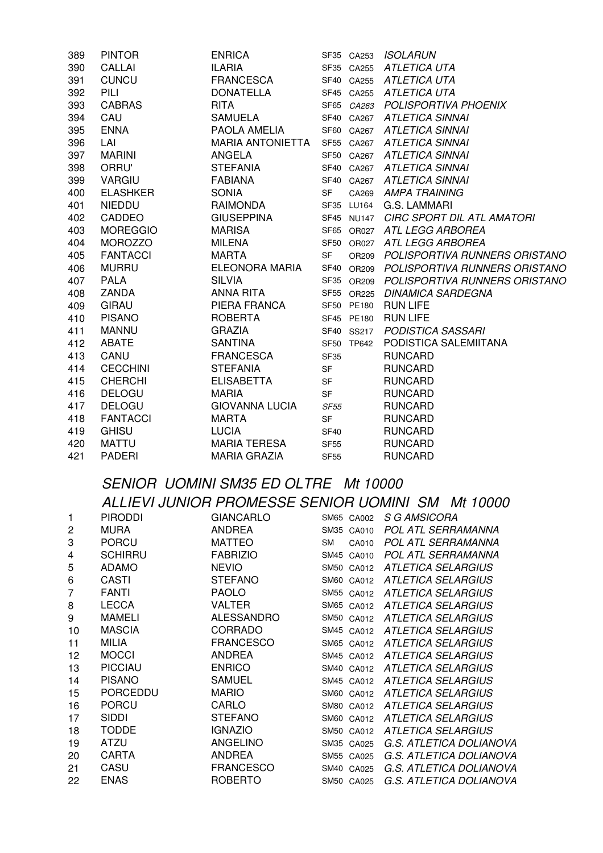| 389 | <b>PINTOR</b>   | <b>ENRICA</b>           |             | SF35 CA253 | <b>ISOLARUN</b>                          |
|-----|-----------------|-------------------------|-------------|------------|------------------------------------------|
| 390 | CALLAI          | <b>ILARIA</b>           |             | SF35 CA255 | ATLETICA UTA                             |
| 391 | <b>CUNCU</b>    | <b>FRANCESCA</b>        |             |            | SF40 CA255 ATLETICA UTA                  |
| 392 | PILI            | <b>DONATELLA</b>        |             |            | SF45 CA255 ATLETICA UTA                  |
| 393 | <b>CABRAS</b>   | <b>RITA</b>             |             | SF65 CA263 | POLISPORTIVA PHOENIX                     |
| 394 | CAU             | <b>SAMUELA</b>          |             | SF40 CA267 | <b>ATLETICA SINNAI</b>                   |
| 395 | <b>ENNA</b>     | PAOLA AMELIA            |             |            | SF60 CA267 ATLETICA SINNAI               |
| 396 | LAI             | <b>MARIA ANTONIETTA</b> |             |            | SF55 CA267 ATLETICA SINNAI               |
| 397 | <b>MARINI</b>   | ANGELA                  |             |            | SF50 CA267 ATLETICA SINNAI               |
| 398 | ORRU'           | <b>STEFANIA</b>         |             |            | SF40 CA267 ATLETICA SINNAI               |
| 399 | <b>VARGIU</b>   | <b>FABIANA</b>          |             |            | SF40 CA267 ATLETICA SINNAI               |
| 400 | <b>ELASHKER</b> | <b>SONIA</b>            | SF          | CA269      | AMPA TRAINING                            |
| 401 | <b>NIEDDU</b>   | RAIMONDA                |             | SF35 LU164 | G.S. LAMMARI                             |
| 402 | <b>CADDEO</b>   | <b>GIUSEPPINA</b>       |             |            | SF45 NU147 CIRC SPORT DIL ATL AMATORI    |
| 403 | <b>MOREGGIO</b> | <b>MARISA</b>           |             |            | SF65 OR027 ATL LEGG ARBOREA              |
| 404 | <b>MOROZZO</b>  | <b>MILENA</b>           |             |            | SF50 OR027 ATL LEGG ARBOREA              |
| 405 | <b>FANTACCI</b> | <b>MARTA</b>            | <b>SF</b>   |            | OR209 POLISPORTIVA RUNNERS ORISTANO      |
| 406 | <b>MURRU</b>    | ELEONORA MARIA          |             |            | SF40 OR209 POLISPORTIVA RUNNERS ORISTANO |
| 407 | <b>PALA</b>     | <b>SILVIA</b>           |             | SF35 OR209 | POLISPORTIVA RUNNERS ORISTANO            |
| 408 | ZANDA           | ANNA RITA               |             | SF55 OR225 | <b>DINAMICA SARDEGNA</b>                 |
| 409 | <b>GIRAU</b>    | PIERA FRANCA            |             | SF50 PE180 | <b>RUN LIFE</b>                          |
| 410 | <b>PISANO</b>   | <b>ROBERTA</b>          |             | SF45 PE180 | <b>RUN LIFE</b>                          |
| 411 | <b>MANNU</b>    | <b>GRAZIA</b>           |             | SF40 SS217 | PODISTICA SASSARI                        |
| 412 | <b>ABATE</b>    | <b>SANTINA</b>          |             | SF50 TP642 | PODISTICA SALEMIITANA                    |
| 413 | CANU            | <b>FRANCESCA</b>        | <b>SF35</b> |            | <b>RUNCARD</b>                           |
| 414 | <b>CECCHINI</b> | <b>STEFANIA</b>         | <b>SF</b>   |            | <b>RUNCARD</b>                           |
| 415 | <b>CHERCHI</b>  | <b>ELISABETTA</b>       | <b>SF</b>   |            | <b>RUNCARD</b>                           |
| 416 | <b>DELOGU</b>   | <b>MARIA</b>            | <b>SF</b>   |            | <b>RUNCARD</b>                           |
| 417 | <b>DELOGU</b>   | <b>GIOVANNA LUCIA</b>   | <b>SF55</b> |            | <b>RUNCARD</b>                           |
| 418 | <b>FANTACCI</b> | <b>MARTA</b>            | <b>SF</b>   |            | <b>RUNCARD</b>                           |
| 419 | <b>GHISU</b>    | <b>LUCIA</b>            | <b>SF40</b> |            | <b>RUNCARD</b>                           |
| 420 | MATTU           | <b>MARIA TERESA</b>     | <b>SF55</b> |            | <b>RUNCARD</b>                           |
| 421 | <b>PADERI</b>   | <b>MARIA GRAZIA</b>     | <b>SF55</b> |            | <b>RUNCARD</b>                           |

## SENIOR UOMINI SM35 ED OLTRE Mt 10000 ALLIEVI JUNIOR PROMESSE SENIOR UOMINI SM Mt 10000

|    | <b>PIRODDI</b>  | <b>GIANCARLO</b>  | SM65 CA002                | S G AMSICORA              |
|----|-----------------|-------------------|---------------------------|---------------------------|
| 2  | <b>MURA</b>     | <b>ANDREA</b>     | <b>SM35</b><br>CA010      | POL ATL SERRAMANNA        |
| 3  | <b>PORCU</b>    | <b>MATTEO</b>     | <b>SM</b><br>CA010        | POL ATL SERRAMANNA        |
| 4  | <b>SCHIRRU</b>  | <b>FABRIZIO</b>   | <b>SM45</b><br>CA010      | POL ATL SERRAMANNA        |
| 5  | <b>ADAMO</b>    | <b>NEVIO</b>      | <b>SM50</b><br>CA012      | ATLETICA SELARGIUS        |
| 6  | CASTI           | <b>STEFANO</b>    | SM <sub>60</sub><br>CA012 | <b>ATLETICA SELARGIUS</b> |
| 7  | <b>FANTI</b>    | <b>PAOLO</b>      | <b>SM55</b><br>CA012      | <b>ATLETICA SELARGIUS</b> |
| 8  | <b>LECCA</b>    | <b>VALTER</b>     | SM65 CA012                | <b>ATLETICA SELARGIUS</b> |
| 9  | <b>MAMELI</b>   | <b>ALESSANDRO</b> | SM50<br>CA012             | <b>ATLETICA SELARGIUS</b> |
| 10 | <b>MASCIA</b>   | CORRADO           | <b>SM45</b><br>CA012      | <b>ATLETICA SELARGIUS</b> |
| 11 | <b>MILIA</b>    | <b>FRANCESCO</b>  | SM65 CA012                | <b>ATLETICA SELARGIUS</b> |
| 12 | <b>MOCCI</b>    | <b>ANDREA</b>     | SM45 CA012                | <b>ATLETICA SELARGIUS</b> |
| 13 | <b>PICCIAU</b>  | <b>ENRICO</b>     | <b>SM40</b><br>CA012      | <b>ATLETICA SELARGIUS</b> |
| 14 | <b>PISANO</b>   | <b>SAMUEL</b>     | SM45 CA012                | <b>ATLETICA SELARGIUS</b> |
| 15 | <b>PORCEDDU</b> | <b>MARIO</b>      | SM60 CA012                | <b>ATLETICA SELARGIUS</b> |
| 16 | <b>PORCU</b>    | CARLO             | SM80<br>CA012             | <b>ATLETICA SELARGIUS</b> |
| 17 | <b>SIDDI</b>    | <b>STEFANO</b>    | SM60 CA012                | <b>ATLETICA SELARGIUS</b> |
| 18 | <b>TODDE</b>    | <b>IGNAZIO</b>    | <b>SM50</b><br>CA012      | <b>ATLETICA SELARGIUS</b> |
| 19 | <b>ATZU</b>     | <b>ANGELINO</b>   | <b>SM35</b><br>CA025      | G.S. ATLETICA DOLIANOVA   |
| 20 | <b>CARTA</b>    | <b>ANDREA</b>     | <b>SM55</b><br>CA025      | G.S. ATLETICA DOLIANOVA   |
| 21 | CASU            | <b>FRANCESCO</b>  | <b>SM40</b><br>CA025      | G.S. ATLETICA DOLIANOVA   |
| 22 | <b>ENAS</b>     | <b>ROBERTO</b>    | SM50 CA025                | G.S. ATLETICA DOLIANOVA   |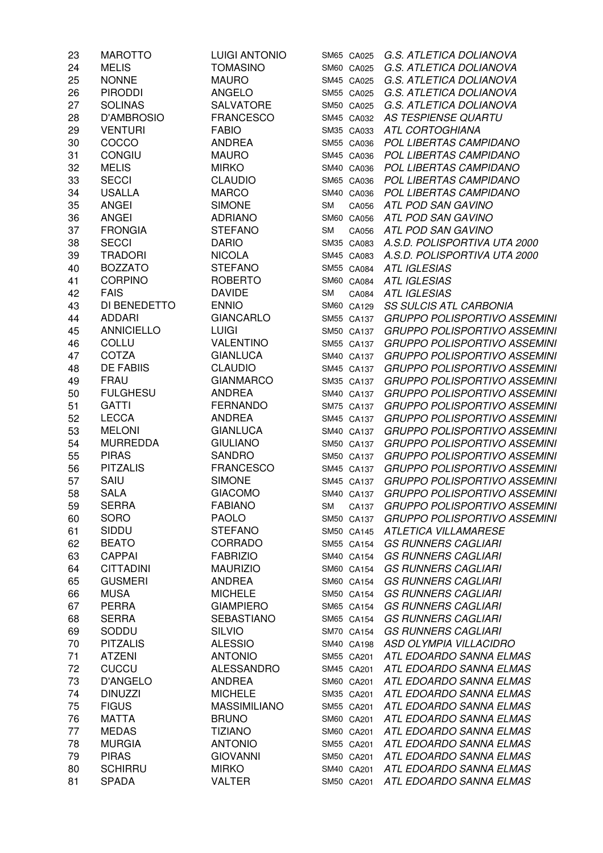| 23 | <b>MAROTTO</b>    | <b>LUIGI ANTONIO</b> | SM65 CA025         | G.S. ATLETICA DOLIANOVA               |
|----|-------------------|----------------------|--------------------|---------------------------------------|
| 24 | <b>MELIS</b>      | <b>TOMASINO</b>      | SM60 CA025         | G.S. ATLETICA DOLIANOVA               |
| 25 | <b>NONNE</b>      | <b>MAURO</b>         | SM45 CA025         | G.S. ATLETICA DOLIANOVA               |
| 26 | <b>PIRODDI</b>    | <b>ANGELO</b>        | SM55 CA025         | G.S. ATLETICA DOLIANOVA               |
| 27 | <b>SOLINAS</b>    | SALVATORE            | SM50 CA025         | G.S. ATLETICA DOLIANOVA               |
| 28 | <b>D'AMBROSIO</b> | <b>FRANCESCO</b>     | SM45 CA032         | <b>AS TESPIENSE QUARTU</b>            |
| 29 | <b>VENTURI</b>    | <b>FABIO</b>         | SM35 CA033         | <b>ATL CORTOGHIANA</b>                |
| 30 | COCCO             | <b>ANDREA</b>        | SM55 CA036         | POL LIBERTAS CAMPIDANO                |
| 31 | <b>CONGIU</b>     | <b>MAURO</b>         | SM45 CA036         | POL LIBERTAS CAMPIDANO                |
| 32 | <b>MELIS</b>      | <b>MIRKO</b>         | SM40 CA036         | POL LIBERTAS CAMPIDANO                |
| 33 | <b>SECCI</b>      | <b>CLAUDIO</b>       | SM65 CA036         | POL LIBERTAS CAMPIDANO                |
| 34 | <b>USALLA</b>     | <b>MARCO</b>         | SM40 CA036         | POL LIBERTAS CAMPIDANO                |
| 35 | <b>ANGEI</b>      | <b>SIMONE</b>        | <b>SM</b><br>CA056 | ATL POD SAN GAVINO                    |
| 36 | <b>ANGEI</b>      | <b>ADRIANO</b>       | SM60 CA056         | ATL POD SAN GAVINO                    |
| 37 | <b>FRONGIA</b>    | <b>STEFANO</b>       | <b>SM</b><br>CA056 | ATL POD SAN GAVINO                    |
| 38 | <b>SECCI</b>      | <b>DARIO</b>         | SM35 CA083         | A.S.D. POLISPORTIVA UTA 2000          |
| 39 | <b>TRADORI</b>    | <b>NICOLA</b>        | SM45 CA083         | A.S.D. POLISPORTIVA UTA 2000          |
| 40 | <b>BOZZATO</b>    | <b>STEFANO</b>       | SM55 CA084         | <b>ATL IGLESIAS</b>                   |
| 41 | <b>CORPINO</b>    | <b>ROBERTO</b>       | SM60 CA084         | <b>ATL IGLESIAS</b>                   |
| 42 | <b>FAIS</b>       | <b>DAVIDE</b>        | <b>SM</b><br>CA084 | <b>ATL IGLESIAS</b>                   |
| 43 | DI BENEDETTO      | <b>ENNIO</b>         | SM60 CA129         | <b>SS SULCIS ATL CARBONIA</b>         |
| 44 | <b>ADDARI</b>     | <b>GIANCARLO</b>     | SM55 CA137         | <b>GRUPPO POLISPORTIVO ASSEMINI</b>   |
| 45 | <b>ANNICIELLO</b> | <b>LUIGI</b>         | SM50 CA137         | <b>GRUPPO POLISPORTIVO ASSEMINI</b>   |
| 46 | <b>COLLU</b>      | VALENTINO            | SM55 CA137         | <b>GRUPPO POLISPORTIVO ASSEMINI</b>   |
| 47 | COTZA             | <b>GIANLUCA</b>      | SM40 CA137         | <b>GRUPPO POLISPORTIVO ASSEMINI</b>   |
| 48 | <b>DE FABIIS</b>  | <b>CLAUDIO</b>       |                    | <b>GRUPPO POLISPORTIVO ASSEMINI</b>   |
|    | <b>FRAU</b>       |                      | SM45 CA137         |                                       |
| 49 |                   | <b>GIANMARCO</b>     | SM35 CA137         | <b>GRUPPO POLISPORTIVO ASSEMINI</b>   |
| 50 | <b>FULGHESU</b>   | <b>ANDREA</b>        | SM40 CA137         | <b>GRUPPO POLISPORTIVO ASSEMINI</b>   |
| 51 | <b>GATTI</b>      | <b>FERNANDO</b>      | SM75 CA137         | <b>GRUPPO POLISPORTIVO ASSEMINI</b>   |
| 52 | <b>LECCA</b>      | <b>ANDREA</b>        | SM45 CA137         | <b>GRUPPO POLISPORTIVO ASSEMINI</b>   |
| 53 | <b>MELONI</b>     | <b>GIANLUCA</b>      | SM40 CA137         | <b>GRUPPO POLISPORTIVO ASSEMINI</b>   |
| 54 | <b>MURREDDA</b>   | <b>GIULIANO</b>      | SM50 CA137         | <b>GRUPPO POLISPORTIVO ASSEMINI</b>   |
| 55 | <b>PIRAS</b>      | <b>SANDRO</b>        | SM50 CA137         | <b>GRUPPO POLISPORTIVO ASSEMINI</b>   |
| 56 | <b>PITZALIS</b>   | <b>FRANCESCO</b>     | SM45 CA137         | <b>GRUPPO POLISPORTIVO ASSEMINI</b>   |
| 57 | SAIU              | <b>SIMONE</b>        | SM45 CA137         | <b>GRUPPO POLISPORTIVO ASSEMINI</b>   |
| 58 | <b>SALA</b>       | <b>GIACOMO</b>       | SM40 CA137         | <b>GRUPPO POLISPORTIVO ASSEMINI</b>   |
| 59 | <b>SERRA</b>      | <b>FABIANO</b>       |                    | SM CA137 GRUPPO POLISPORTIVO ASSEMINI |
| 60 | <b>SORO</b>       | <b>PAOLO</b>         | SM50 CA137         | <b>GRUPPO POLISPORTIVO ASSEMINI</b>   |
| 61 | SIDDU             | <b>STEFANO</b>       | SM50 CA145         | ATLETICA VILLAMARESE                  |
| 62 | <b>BEATO</b>      | <b>CORRADO</b>       | SM55 CA154         | <b>GS RUNNERS CAGLIARI</b>            |
| 63 | <b>CAPPAI</b>     | <b>FABRIZIO</b>      | SM40 CA154         | <b>GS RUNNERS CAGLIARI</b>            |
| 64 | <b>CITTADINI</b>  | <b>MAURIZIO</b>      | SM60 CA154         | <b>GS RUNNERS CAGLIARI</b>            |
| 65 | <b>GUSMERI</b>    | <b>ANDREA</b>        | SM60 CA154         | <b>GS RUNNERS CAGLIARI</b>            |
| 66 | <b>MUSA</b>       | <b>MICHELE</b>       | SM50 CA154         | <b>GS RUNNERS CAGLIARI</b>            |
| 67 | <b>PERRA</b>      | <b>GIAMPIERO</b>     | SM65 CA154         | <b>GS RUNNERS CAGLIARI</b>            |
| 68 | <b>SERRA</b>      | <b>SEBASTIANO</b>    | SM65 CA154         | <b>GS RUNNERS CAGLIARI</b>            |
| 69 | SODDU             | <b>SILVIO</b>        | SM70 CA154         | <b>GS RUNNERS CAGLIARI</b>            |
| 70 | <b>PITZALIS</b>   | <b>ALESSIO</b>       | SM40 CA198         | ASD OLYMPIA VILLACIDRO                |
| 71 | <b>ATZENI</b>     | <b>ANTONIO</b>       | SM55 CA201         | ATL EDOARDO SANNA ELMAS               |
| 72 | <b>CUCCU</b>      | <b>ALESSANDRO</b>    | SM45 CA201         | ATL EDOARDO SANNA ELMAS               |
| 73 | <b>D'ANGELO</b>   | <b>ANDREA</b>        | SM60 CA201         | ATL EDOARDO SANNA ELMAS               |
| 74 | <b>DINUZZI</b>    | <b>MICHELE</b>       | SM35 CA201         | ATL EDOARDO SANNA ELMAS               |
| 75 | <b>FIGUS</b>      | <b>MASSIMILIANO</b>  | SM55 CA201         | ATL EDOARDO SANNA ELMAS               |
| 76 | <b>MATTA</b>      | <b>BRUNO</b>         | SM60 CA201         | ATL EDOARDO SANNA ELMAS               |
| 77 | <b>MEDAS</b>      | <b>TIZIANO</b>       | SM60 CA201         | ATL EDOARDO SANNA ELMAS               |
| 78 | <b>MURGIA</b>     | <b>ANTONIO</b>       | SM55 CA201         | ATL EDOARDO SANNA ELMAS               |
| 79 | <b>PIRAS</b>      | <b>GIOVANNI</b>      | SM50 CA201         | ATL EDOARDO SANNA ELMAS               |
| 80 | <b>SCHIRRU</b>    | <b>MIRKO</b>         | SM40 CA201         | ATL EDOARDO SANNA ELMAS               |
| 81 | <b>SPADA</b>      | <b>VALTER</b>        | SM50 CA201         | ATL EDOARDO SANNA ELMAS               |
|    |                   |                      |                    |                                       |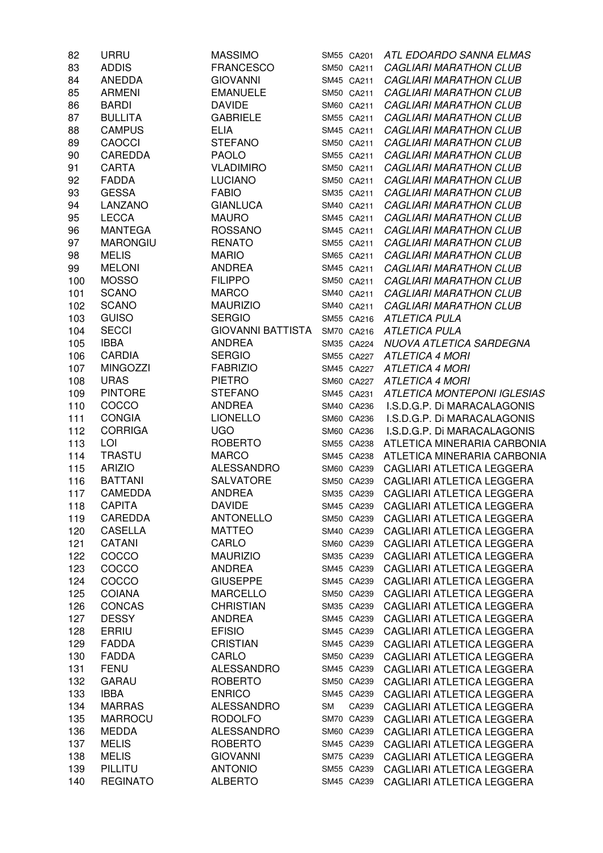| 82  | URRU            | <b>MASSIMO</b>           |    | SM55 CA201 | ATL EDOARDO SANNA ELMAS            |
|-----|-----------------|--------------------------|----|------------|------------------------------------|
| 83  | <b>ADDIS</b>    | <b>FRANCESCO</b>         |    | SM50 CA211 | <b>CAGLIARI MARATHON CLUB</b>      |
| 84  | ANEDDA          | <b>GIOVANNI</b>          |    | SM45 CA211 | <b>CAGLIARI MARATHON CLUB</b>      |
| 85  | <b>ARMENI</b>   | <b>EMANUELE</b>          |    | SM50 CA211 | <b>CAGLIARI MARATHON CLUB</b>      |
| 86  | <b>BARDI</b>    | <b>DAVIDE</b>            |    | SM60 CA211 | <b>CAGLIARI MARATHON CLUB</b>      |
| 87  | <b>BULLITA</b>  | <b>GABRIELE</b>          |    | SM55 CA211 | <b>CAGLIARI MARATHON CLUB</b>      |
| 88  | <b>CAMPUS</b>   | <b>ELIA</b>              |    | SM45 CA211 | <b>CAGLIARI MARATHON CLUB</b>      |
| 89  | <b>CAOCCI</b>   | <b>STEFANO</b>           |    | SM50 CA211 | <b>CAGLIARI MARATHON CLUB</b>      |
| 90  | <b>CAREDDA</b>  | <b>PAOLO</b>             |    | SM55 CA211 | <b>CAGLIARI MARATHON CLUB</b>      |
| 91  | CARTA           | <b>VLADIMIRO</b>         |    | SM50 CA211 | <b>CAGLIARI MARATHON CLUB</b>      |
| 92  | <b>FADDA</b>    | <b>LUCIANO</b>           |    | SM50 CA211 | <b>CAGLIARI MARATHON CLUB</b>      |
| 93  | <b>GESSA</b>    | <b>FABIO</b>             |    | SM35 CA211 | <b>CAGLIARI MARATHON CLUB</b>      |
| 94  | LANZANO         | <b>GIANLUCA</b>          |    | SM40 CA211 | <b>CAGLIARI MARATHON CLUB</b>      |
| 95  | <b>LECCA</b>    | <b>MAURO</b>             |    | SM45 CA211 | <b>CAGLIARI MARATHON CLUB</b>      |
| 96  | <b>MANTEGA</b>  | <b>ROSSANO</b>           |    | SM45 CA211 | <b>CAGLIARI MARATHON CLUB</b>      |
| 97  | <b>MARONGIU</b> | <b>RENATO</b>            |    | SM55 CA211 | <b>CAGLIARI MARATHON CLUB</b>      |
| 98  | <b>MELIS</b>    | <b>MARIO</b>             |    | SM65 CA211 | <b>CAGLIARI MARATHON CLUB</b>      |
| 99  | <b>MELONI</b>   | <b>ANDREA</b>            |    | SM45 CA211 | <b>CAGLIARI MARATHON CLUB</b>      |
| 100 | <b>MOSSO</b>    | <b>FILIPPO</b>           |    | SM50 CA211 | <b>CAGLIARI MARATHON CLUB</b>      |
| 101 | <b>SCANO</b>    | <b>MARCO</b>             |    | SM40 CA211 | <b>CAGLIARI MARATHON CLUB</b>      |
| 102 | <b>SCANO</b>    | <b>MAURIZIO</b>          |    | SM40 CA211 | <b>CAGLIARI MARATHON CLUB</b>      |
| 103 | <b>GUISO</b>    | <b>SERGIO</b>            |    | SM55 CA216 | <b>ATLETICA PULA</b>               |
| 104 | <b>SECCI</b>    | <b>GIOVANNI BATTISTA</b> |    | SM70 CA216 | <b>ATLETICA PULA</b>               |
| 105 | <b>IBBA</b>     | <b>ANDREA</b>            |    | SM35 CA224 | NUOVA ATLETICA SARDEGNA            |
| 106 | <b>CARDIA</b>   | <b>SERGIO</b>            |    | SM55 CA227 | <b>ATLETICA 4 MORI</b>             |
| 107 | <b>MINGOZZI</b> | <b>FABRIZIO</b>          |    | SM45 CA227 | <b>ATLETICA 4 MORI</b>             |
| 108 | <b>URAS</b>     | <b>PIETRO</b>            |    | SM60 CA227 | <b>ATLETICA 4 MORI</b>             |
| 109 | <b>PINTORE</b>  | <b>STEFANO</b>           |    | SM45 CA231 | <b>ATLETICA MONTEPONI IGLESIAS</b> |
| 110 | COCCO           | <b>ANDREA</b>            |    | SM40 CA236 | I.S.D.G.P. Di MARACALAGONIS        |
| 111 | <b>CONGIA</b>   | <b>LIONELLO</b>          |    | SM60 CA236 | I.S.D.G.P. Di MARACALAGONIS        |
| 112 | <b>CORRIGA</b>  | <b>UGO</b>               |    | SM60 CA236 | I.S.D.G.P. Di MARACALAGONIS        |
| 113 | LOI             | <b>ROBERTO</b>           |    | SM55 CA238 | ATLETICA MINERARIA CARBONIA        |
| 114 | <b>TRASTU</b>   | <b>MARCO</b>             |    | SM45 CA238 | ATLETICA MINERARIA CARBONIA        |
| 115 | <b>ARIZIO</b>   | <b>ALESSANDRO</b>        |    | SM60 CA239 | CAGLIARI ATLETICA LEGGERA          |
| 116 | <b>BATTANI</b>  | SALVATORE                |    | SM50 CA239 | CAGLIARI ATLETICA LEGGERA          |
| 117 | CAMEDDA         | <b>ANDREA</b>            |    | SM35 CA239 | CAGLIARI ATLETICA LEGGERA          |
| 118 | <b>CAPITA</b>   | <b>DAVIDE</b>            |    | SM45 CA239 |                                    |
|     |                 |                          |    |            | CAGLIARI ATLETICA LEGGERA          |
| 119 | CAREDDA         | <b>ANTONELLO</b>         |    | SM50 CA239 | CAGLIARI ATLETICA LEGGERA          |
| 120 | <b>CASELLA</b>  | <b>MATTEO</b>            |    | SM40 CA239 | CAGLIARI ATLETICA LEGGERA          |
| 121 | CATANI          | CARLO                    |    | SM60 CA239 | CAGLIARI ATLETICA LEGGERA          |
| 122 | COCCO           | <b>MAURIZIO</b>          |    | SM35 CA239 | CAGLIARI ATLETICA LEGGERA          |
| 123 | COCCO           | <b>ANDREA</b>            |    | SM45 CA239 | CAGLIARI ATLETICA LEGGERA          |
| 124 | COCCO           | <b>GIUSEPPE</b>          |    | SM45 CA239 | CAGLIARI ATLETICA LEGGERA          |
| 125 | <b>COIANA</b>   | <b>MARCELLO</b>          |    | SM50 CA239 | CAGLIARI ATLETICA LEGGERA          |
| 126 | <b>CONCAS</b>   | <b>CHRISTIAN</b>         |    | SM35 CA239 | CAGLIARI ATLETICA LEGGERA          |
| 127 | <b>DESSY</b>    | <b>ANDREA</b>            |    | SM45 CA239 | CAGLIARI ATLETICA LEGGERA          |
| 128 | <b>ERRIU</b>    | <b>EFISIO</b>            |    | SM45 CA239 | CAGLIARI ATLETICA LEGGERA          |
| 129 | <b>FADDA</b>    | <b>CRISTIAN</b>          |    | SM45 CA239 | CAGLIARI ATLETICA LEGGERA          |
| 130 | <b>FADDA</b>    | CARLO                    |    | SM50 CA239 | CAGLIARI ATLETICA LEGGERA          |
| 131 | <b>FENU</b>     | <b>ALESSANDRO</b>        |    | SM45 CA239 | CAGLIARI ATLETICA LEGGERA          |
| 132 | <b>GARAU</b>    | <b>ROBERTO</b>           |    | SM50 CA239 | CAGLIARI ATLETICA LEGGERA          |
| 133 | <b>IBBA</b>     | <b>ENRICO</b>            |    | SM45 CA239 | CAGLIARI ATLETICA LEGGERA          |
| 134 | <b>MARRAS</b>   | <b>ALESSANDRO</b>        | SM | CA239      | CAGLIARI ATLETICA LEGGERA          |
| 135 | <b>MARROCU</b>  | <b>RODOLFO</b>           |    | SM70 CA239 | CAGLIARI ATLETICA LEGGERA          |
| 136 | <b>MEDDA</b>    | <b>ALESSANDRO</b>        |    | SM60 CA239 | CAGLIARI ATLETICA LEGGERA          |
| 137 | <b>MELIS</b>    | <b>ROBERTO</b>           |    | SM45 CA239 | CAGLIARI ATLETICA LEGGERA          |
| 138 | <b>MELIS</b>    | <b>GIOVANNI</b>          |    | SM75 CA239 | CAGLIARI ATLETICA LEGGERA          |
| 139 | PILLITU         | <b>ANTONIO</b>           |    | SM55 CA239 | CAGLIARI ATLETICA LEGGERA          |
| 140 | <b>REGINATO</b> | <b>ALBERTO</b>           |    | SM45 CA239 | CAGLIARI ATLETICA LEGGERA          |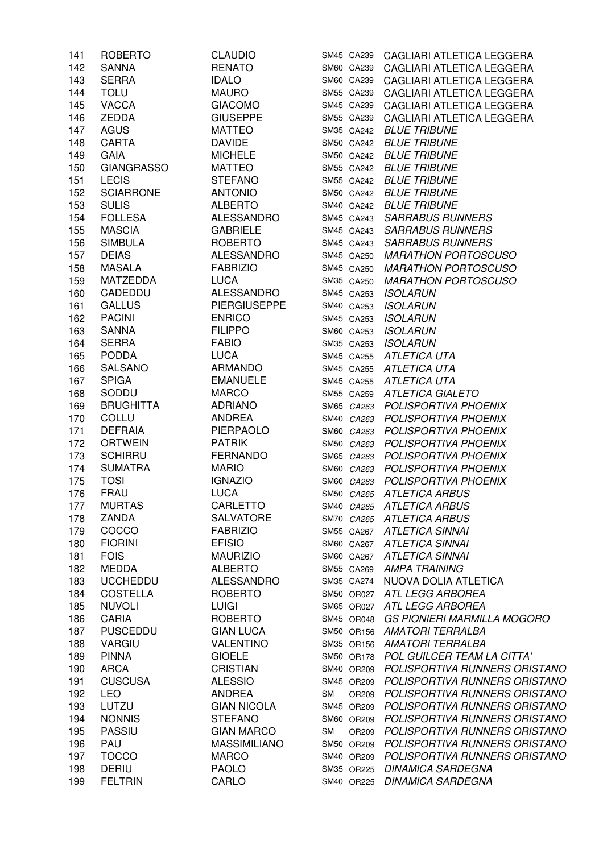| 141 | <b>ROBERTO</b>    | <b>CLAUDIO</b>      |           |            | SM45 CA239 CAGLIARI ATLETICA LEGGERA |
|-----|-------------------|---------------------|-----------|------------|--------------------------------------|
| 142 | <b>SANNA</b>      | <b>RENATO</b>       |           | SM60 CA239 | CAGLIARI ATLETICA LEGGERA            |
| 143 | <b>SERRA</b>      | <b>IDALO</b>        |           | SM60 CA239 | CAGLIARI ATLETICA LEGGERA            |
| 144 | <b>TOLU</b>       | <b>MAURO</b>        |           | SM55 CA239 | CAGLIARI ATLETICA LEGGERA            |
| 145 | <b>VACCA</b>      | <b>GIACOMO</b>      |           | SM45 CA239 | CAGLIARI ATLETICA LEGGERA            |
| 146 | <b>ZEDDA</b>      | <b>GIUSEPPE</b>     |           | SM55 CA239 | CAGLIARI ATLETICA LEGGERA            |
| 147 | <b>AGUS</b>       | <b>MATTEO</b>       |           | SM35 CA242 | <b>BLUE TRIBUNE</b>                  |
| 148 | <b>CARTA</b>      | <b>DAVIDE</b>       |           | SM50 CA242 | <b>BLUE TRIBUNE</b>                  |
| 149 | <b>GAIA</b>       | <b>MICHELE</b>      |           | SM50 CA242 | <b>BLUE TRIBUNE</b>                  |
|     | <b>GIANGRASSO</b> |                     |           |            |                                      |
| 150 |                   | MATTEO              |           |            | SM55 CA242 BLUE TRIBUNE              |
| 151 | <b>LECIS</b>      | <b>STEFANO</b>      |           |            | SM55 CA242 BLUE TRIBUNE              |
| 152 | <b>SCIARRONE</b>  | <b>ANTONIO</b>      |           |            | SM50 CA242 BLUE TRIBUNE              |
| 153 | <b>SULIS</b>      | <b>ALBERTO</b>      |           |            | SM40 CA242 BLUE TRIBUNE              |
| 154 | <b>FOLLESA</b>    | ALESSANDRO          |           |            | SM45 CA243 SARRABUS RUNNERS          |
| 155 | <b>MASCIA</b>     | <b>GABRIELE</b>     |           |            | SM45 CA243 SARRABUS RUNNERS          |
| 156 | <b>SIMBULA</b>    | <b>ROBERTO</b>      |           |            | SM45 CA243 SARRABUS RUNNERS          |
| 157 | <b>DEIAS</b>      | <b>ALESSANDRO</b>   |           |            | SM45 CA250 MARATHON PORTOSCUSO       |
| 158 | <b>MASALA</b>     | <b>FABRIZIO</b>     |           |            | SM45 CA250 MARATHON PORTOSCUSO       |
| 159 | MATZEDDA          | <b>LUCA</b>         |           |            | SM35 CA250 MARATHON PORTOSCUSO       |
| 160 | CADEDDU           | ALESSANDRO          |           |            | SM45 CA253 ISOLARUN                  |
| 161 | <b>GALLUS</b>     | <b>PIERGIUSEPPE</b> |           | SM40 CA253 | <b>ISOLARUN</b>                      |
| 162 | <b>PACINI</b>     | <b>ENRICO</b>       |           | SM45 CA253 | <b>ISOLARUN</b>                      |
| 163 | SANNA             | <b>FILIPPO</b>      |           | SM60 CA253 | <b>ISOLARUN</b>                      |
| 164 | <b>SERRA</b>      | <b>FABIO</b>        |           | SM35 CA253 | <b>ISOLARUN</b>                      |
| 165 | <b>PODDA</b>      | LUCA                |           | SM45 CA255 | ATLETICA UTA                         |
| 166 | <b>SALSANO</b>    | ARMANDO             |           | SM45 CA255 | ATLETICA UTA                         |
| 167 | <b>SPIGA</b>      | EMANUELE            |           | SM45 CA255 | ATLETICA UTA                         |
|     |                   |                     |           |            |                                      |
| 168 | SODDU             | <b>MARCO</b>        |           | SM55 CA259 | <b>ATLETICA GIALETO</b>              |
| 169 | <b>BRUGHITTA</b>  | ADRIANO             |           | SM65 CA263 | POLISPORTIVA PHOENIX                 |
| 170 | COLLU             | <b>ANDREA</b>       |           | SM40 CA263 | POLISPORTIVA PHOENIX                 |
| 171 | <b>DEFRAIA</b>    | PIERPAOLO           |           | SM60 CA263 | POLISPORTIVA PHOENIX                 |
| 172 | <b>ORTWEIN</b>    | <b>PATRIK</b>       |           | SM50 CA263 | POLISPORTIVA PHOENIX                 |
| 173 | <b>SCHIRRU</b>    | <b>FERNANDO</b>     |           | SM65 CA263 | <b>POLISPORTIVA PHOENIX</b>          |
| 174 | <b>SUMATRA</b>    | <b>MARIO</b>        |           |            | SM60 CA263 POLISPORTIVA PHOENIX      |
| 175 | <b>TOSI</b>       | <b>IGNAZIO</b>      |           |            | SM60 CA263 POLISPORTIVA PHOENIX      |
| 176 | <b>FRAU</b>       | <b>LUCA</b>         |           |            | SM50 CA265 ATLETICA ARBUS            |
| 177 | <b>MURTAS</b>     | CARLETTO            |           |            | SM40 CA265 ATLETICA ARBUS            |
| 178 | ZANDA             | <b>SALVATORE</b>    |           | SM70 CA265 | <b>ATLETICA ARBUS</b>                |
| 179 | COCCO             | <b>FABRIZIO</b>     |           | SM55 CA267 | <b>ATLETICA SINNAI</b>               |
| 180 | <b>FIORINI</b>    | <b>EFISIO</b>       |           | SM60 CA267 | <b>ATLETICA SINNAI</b>               |
| 181 | <b>FOIS</b>       | <b>MAURIZIO</b>     |           | SM60 CA267 | <b>ATLETICA SINNAI</b>               |
| 182 | <b>MEDDA</b>      | <b>ALBERTO</b>      |           | SM55 CA269 | <b>AMPA TRAINING</b>                 |
| 183 | <b>UCCHEDDU</b>   | <b>ALESSANDRO</b>   |           | SM35 CA274 | NUOVA DOLIA ATLETICA                 |
| 184 | <b>COSTELLA</b>   | <b>ROBERTO</b>      |           | SM50 OR027 | ATL LEGG ARBOREA                     |
| 185 | <b>NUVOLI</b>     | <b>LUIGI</b>        |           | SM65 OR027 | ATL LEGG ARBOREA                     |
| 186 | <b>CARIA</b>      | <b>ROBERTO</b>      |           | SM45 OR048 | <b>GS PIONIERI MARMILLA MOGORO</b>   |
|     |                   | <b>GIAN LUCA</b>    |           |            |                                      |
| 187 | <b>PUSCEDDU</b>   |                     |           | SM50 OR156 | <b>AMATORI TERRALBA</b>              |
| 188 | <b>VARGIU</b>     | <b>VALENTINO</b>    |           | SM35 OR156 | <b>AMATORI TERRALBA</b>              |
| 189 | <b>PINNA</b>      | <b>GIOELE</b>       |           | SM50 OR178 | POL GUILCER TEAM LA CITTA'           |
| 190 | <b>ARCA</b>       | <b>CRISTIAN</b>     |           | SM40 OR209 | POLISPORTIVA RUNNERS ORISTANO        |
| 191 | <b>CUSCUSA</b>    | <b>ALESSIO</b>      |           | SM45 OR209 | POLISPORTIVA RUNNERS ORISTANO        |
| 192 | <b>LEO</b>        | <b>ANDREA</b>       | <b>SM</b> | OR209      | POLISPORTIVA RUNNERS ORISTANO        |
| 193 | LUTZU             | <b>GIAN NICOLA</b>  |           | SM45 OR209 | POLISPORTIVA RUNNERS ORISTANO        |
| 194 | <b>NONNIS</b>     | <b>STEFANO</b>      |           | SM60 OR209 | POLISPORTIVA RUNNERS ORISTANO        |
| 195 | <b>PASSIU</b>     | <b>GIAN MARCO</b>   | <b>SM</b> | OR209      | POLISPORTIVA RUNNERS ORISTANO        |
| 196 | PAU               | <b>MASSIMILIANO</b> |           | SM50 OR209 | POLISPORTIVA RUNNERS ORISTANO        |
| 197 | <b>TOCCO</b>      | <b>MARCO</b>        |           | SM40 OR209 | POLISPORTIVA RUNNERS ORISTANO        |
| 198 | <b>DERIU</b>      | <b>PAOLO</b>        |           | SM35 OR225 | <b>DINAMICA SARDEGNA</b>             |
| 199 | <b>FELTRIN</b>    | CARLO               |           | SM40 OR225 | <b>DINAMICA SARDEGNA</b>             |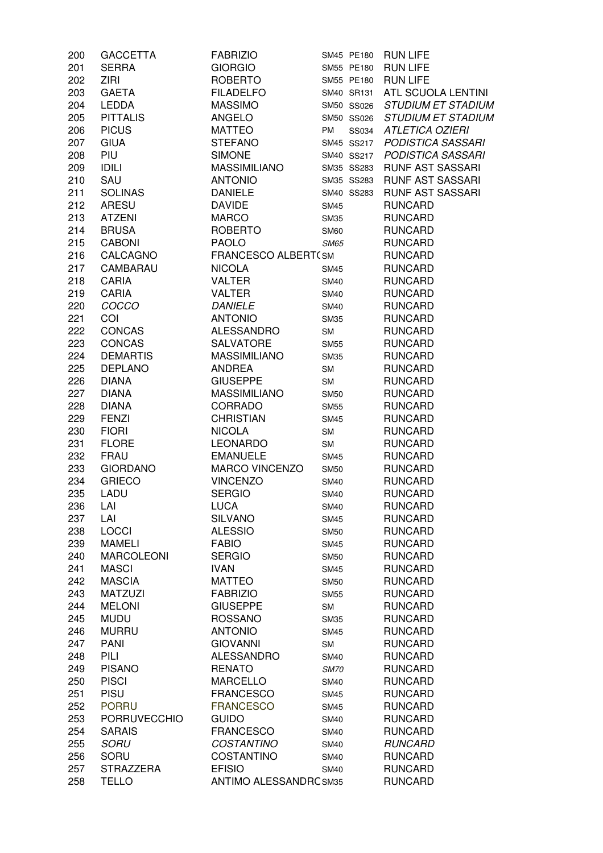| 200 | <b>GACCETTA</b>     | <b>FABRIZIO</b>        | SM45 PE180  |       | <b>RUN LIFE</b>           |
|-----|---------------------|------------------------|-------------|-------|---------------------------|
| 201 | <b>SERRA</b>        | <b>GIORGIO</b>         | SM55 PE180  |       | <b>RUN LIFE</b>           |
| 202 | <b>ZIRI</b>         | <b>ROBERTO</b>         | SM55 PE180  |       | <b>RUN LIFE</b>           |
| 203 | <b>GAETA</b>        | <b>FILADELFO</b>       | SM40 SR131  |       | ATL SCUOLA LENTINI        |
| 204 | <b>LEDDA</b>        | <b>MASSIMO</b>         | SM50 SS026  |       | <b>STUDIUM ET STADIUM</b> |
| 205 | <b>PITTALIS</b>     | <b>ANGELO</b>          | SM50 SS026  |       | <b>STUDIUM ET STADIUM</b> |
| 206 | <b>PICUS</b>        | <b>MATTEO</b>          | PM          | SS034 | <b>ATLETICA OZIERI</b>    |
| 207 | <b>GIUA</b>         | <b>STEFANO</b>         | SM45 SS217  |       | PODISTICA SASSARI         |
| 208 | PIU                 | <b>SIMONE</b>          | SM40 SS217  |       | PODISTICA SASSARI         |
| 209 | <b>IDILI</b>        | <b>MASSIMILIANO</b>    | SM35 SS283  |       | <b>RUNF AST SASSARI</b>   |
| 210 | SAU                 | <b>ANTONIO</b>         | SM35 SS283  |       | <b>RUNF AST SASSARI</b>   |
| 211 | <b>SOLINAS</b>      | <b>DANIELE</b>         | SM40 SS283  |       | <b>RUNF AST SASSARI</b>   |
|     |                     |                        |             |       |                           |
| 212 | <b>ARESU</b>        | <b>DAVIDE</b>          | <b>SM45</b> |       | <b>RUNCARD</b>            |
| 213 | <b>ATZENI</b>       | <b>MARCO</b>           | <b>SM35</b> |       | <b>RUNCARD</b>            |
| 214 | <b>BRUSA</b>        | <b>ROBERTO</b>         | <b>SM60</b> |       | <b>RUNCARD</b>            |
| 215 | <b>CABONI</b>       | <b>PAOLO</b>           | <b>SM65</b> |       | <b>RUNCARD</b>            |
| 216 | CALCAGNO            | FRANCESCO ALBERT(SM    |             |       | <b>RUNCARD</b>            |
| 217 | CAMBARAU            | <b>NICOLA</b>          | <b>SM45</b> |       | <b>RUNCARD</b>            |
| 218 | CARIA               | VALTER                 | <b>SM40</b> |       | <b>RUNCARD</b>            |
| 219 | <b>CARIA</b>        | VALTER                 | <b>SM40</b> |       | <b>RUNCARD</b>            |
| 220 | COCCO               | <b>DANIELE</b>         | <b>SM40</b> |       | <b>RUNCARD</b>            |
| 221 | COI                 | <b>ANTONIO</b>         | <b>SM35</b> |       | <b>RUNCARD</b>            |
| 222 | <b>CONCAS</b>       | <b>ALESSANDRO</b>      | <b>SM</b>   |       | <b>RUNCARD</b>            |
| 223 | <b>CONCAS</b>       | SALVATORE              | <b>SM55</b> |       | <b>RUNCARD</b>            |
| 224 | <b>DEMARTIS</b>     | <b>MASSIMILIANO</b>    | <b>SM35</b> |       | <b>RUNCARD</b>            |
| 225 | <b>DEPLANO</b>      | <b>ANDREA</b>          | <b>SM</b>   |       | <b>RUNCARD</b>            |
| 226 | <b>DIANA</b>        | <b>GIUSEPPE</b>        | <b>SM</b>   |       | <b>RUNCARD</b>            |
| 227 | <b>DIANA</b>        | <b>MASSIMILIANO</b>    | <b>SM50</b> |       | <b>RUNCARD</b>            |
| 228 | <b>DIANA</b>        | CORRADO                | <b>SM55</b> |       | <b>RUNCARD</b>            |
| 229 | <b>FENZI</b>        | <b>CHRISTIAN</b>       | <b>SM45</b> |       | <b>RUNCARD</b>            |
| 230 | <b>FIORI</b>        | <b>NICOLA</b>          | <b>SM</b>   |       | <b>RUNCARD</b>            |
| 231 | <b>FLORE</b>        | <b>LEONARDO</b>        | <b>SM</b>   |       | <b>RUNCARD</b>            |
| 232 | <b>FRAU</b>         | <b>EMANUELE</b>        | <b>SM45</b> |       | <b>RUNCARD</b>            |
|     | <b>GIORDANO</b>     | <b>MARCO VINCENZO</b>  |             |       | <b>RUNCARD</b>            |
| 233 |                     |                        | <b>SM50</b> |       |                           |
| 234 | <b>GRIECO</b>       | <b>VINCENZO</b>        | <b>SM40</b> |       | <b>RUNCARD</b>            |
| 235 | LADU                | <b>SERGIO</b>          | <b>SM40</b> |       | <b>RUNCARD</b>            |
| 236 | LAI                 | <b>LUCA</b>            | <b>SM40</b> |       | <b>RUNCARD</b>            |
| 237 | LAI                 | <b>SILVANO</b>         | <b>SM45</b> |       | <b>RUNCARD</b>            |
| 238 | <b>LOCCI</b>        | <b>ALESSIO</b>         | <b>SM50</b> |       | <b>RUNCARD</b>            |
| 239 | <b>MAMELI</b>       | <b>FABIO</b>           | <b>SM45</b> |       | <b>RUNCARD</b>            |
| 240 | <b>MARCOLEONI</b>   | <b>SERGIO</b>          | <b>SM50</b> |       | <b>RUNCARD</b>            |
| 241 | <b>MASCI</b>        | <b>IVAN</b>            | <b>SM45</b> |       | <b>RUNCARD</b>            |
| 242 | <b>MASCIA</b>       | <b>MATTEO</b>          | <b>SM50</b> |       | <b>RUNCARD</b>            |
| 243 | <b>MATZUZI</b>      | <b>FABRIZIO</b>        | <b>SM55</b> |       | <b>RUNCARD</b>            |
| 244 | <b>MELONI</b>       | <b>GIUSEPPE</b>        | <b>SM</b>   |       | <b>RUNCARD</b>            |
| 245 | <b>MUDU</b>         | <b>ROSSANO</b>         | <b>SM35</b> |       | <b>RUNCARD</b>            |
| 246 | <b>MURRU</b>        | <b>ANTONIO</b>         | <b>SM45</b> |       | <b>RUNCARD</b>            |
| 247 | <b>PANI</b>         | <b>GIOVANNI</b>        | <b>SM</b>   |       | <b>RUNCARD</b>            |
| 248 | PILI                | <b>ALESSANDRO</b>      | <b>SM40</b> |       | <b>RUNCARD</b>            |
| 249 | <b>PISANO</b>       | <b>RENATO</b>          | <b>SM70</b> |       | <b>RUNCARD</b>            |
| 250 | <b>PISCI</b>        | <b>MARCELLO</b>        | <b>SM40</b> |       | <b>RUNCARD</b>            |
| 251 | <b>PISU</b>         | <b>FRANCESCO</b>       | <b>SM45</b> |       | <b>RUNCARD</b>            |
| 252 | <b>PORRU</b>        | <b>FRANCESCO</b>       | <b>SM45</b> |       | <b>RUNCARD</b>            |
| 253 | <b>PORRUVECCHIO</b> | <b>GUIDO</b>           | <b>SM40</b> |       | <b>RUNCARD</b>            |
| 254 | <b>SARAIS</b>       | <b>FRANCESCO</b>       | <b>SM40</b> |       | <b>RUNCARD</b>            |
| 255 | <b>SORU</b>         | <b>COSTANTINO</b>      | <b>SM40</b> |       | <b>RUNCARD</b>            |
| 256 | SORU                | <b>COSTANTINO</b>      | <b>SM40</b> |       | <b>RUNCARD</b>            |
| 257 | <b>STRAZZERA</b>    | <b>EFISIO</b>          | <b>SM40</b> |       | <b>RUNCARD</b>            |
| 258 | <b>TELLO</b>        | ANTIMO ALESSANDRC SM35 |             |       | <b>RUNCARD</b>            |
|     |                     |                        |             |       |                           |